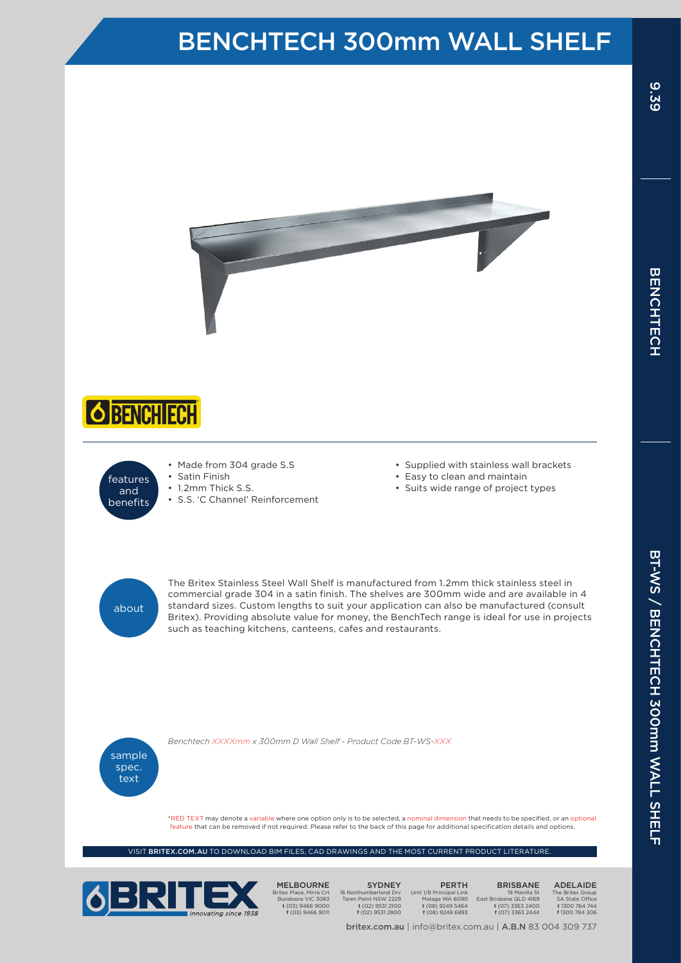## BENCHTECH 300mm WALL SHELF







• Made from 304 grade S.S • Satin Finish

• 1.2mm Thick S.S.

• S.S. 'C Channel' Reinforcement

- • Supplied with stainless wall brackets
- Easy to clean and maintain
- • Suits wide range of project types



The Britex Stainless Steel Wall Shelf is manufactured from 1.2mm thick stainless steel in commercial grade 304 in a satin finish. The shelves are 300mm wide and are available in 4 standard sizes. Custom lengths to suit your application can also be manufactured (consult Britex). Providing absolute value for money, the BenchTech range is ideal for use in projects such as teaching kitchens, canteens, cafes and restaurants.



*Benchtech XXXXmm x 300mm D Wall Shelf - Product Code BT-WS-XXX*

\*RED TEXT may denote a variable where one option only is to be selected, a nominal dimension that needs to be specified, or an optional feature that can be removed if not required. Please refer to the back of this page for additional specification details and options.

VISIT BRITEX.COM.AU TO DOWNLOAD BIM FILES, CAD DRAWINGS AND THE MOST CURRENT PRODUCT LITERATUR



MELBOURNE Britex Place, Mirra Crt Bundoora VIC 3083 t (03) 9466 9000 f (03) 9466 9011

SYDNEY 16 Northumberland Drv Taren Point NSW 2229 t (02) 9531 2100 f (02) 9531 2800

PERTH Unit 1/8 Principal Link Malaga WA 6090 t (08) 9249 5464 f (08) 9248 6893

britex.com.au | info@britex.com.au | A.B.N 83 004 309 737

BRISBANE 19 Manilla St East Brisbane QLD 4169 t (07) 3363 2400 f (07) 3363 2444

ADELAIDE The Britex Group SA State Office t 1300 764 744 f 1300 784 306